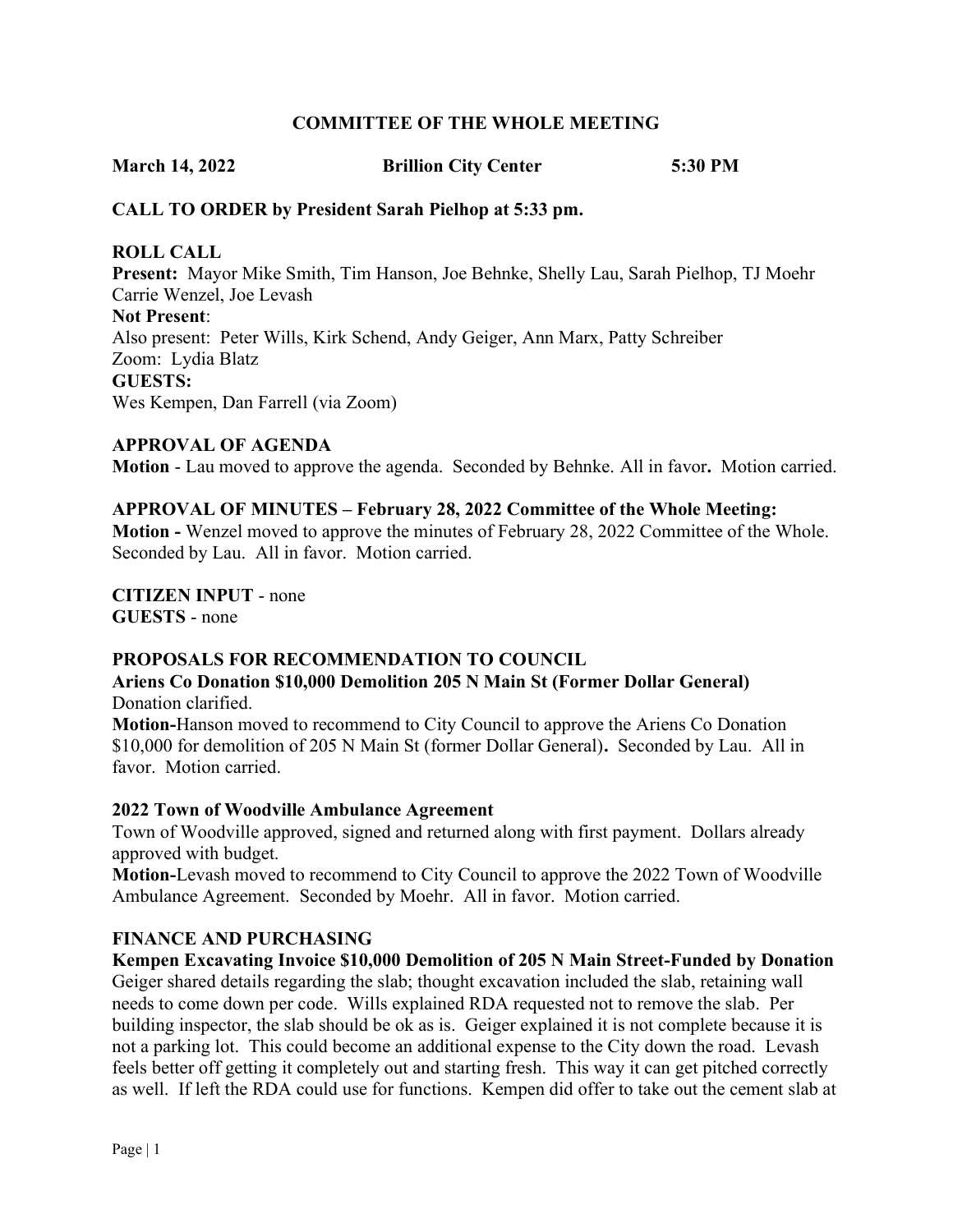## COMMITTEE OF THE WHOLE MEETING

March 14, 2022 Brillion City Center 5:30 PM

## CALL TO ORDER by President Sarah Pielhop at 5:33 pm.

# ROLL CALL

Present: Mayor Mike Smith, Tim Hanson, Joe Behnke, Shelly Lau, Sarah Pielhop, TJ Moehr Carrie Wenzel, Joe Levash Not Present:

Also present: Peter Wills, Kirk Schend, Andy Geiger, Ann Marx, Patty Schreiber Zoom: Lydia Blatz GUESTS: Wes Kempen, Dan Farrell (via Zoom)

## APPROVAL OF AGENDA

Motion - Lau moved to approve the agenda. Seconded by Behnke. All in favor. Motion carried.

## APPROVAL OF MINUTES – February 28, 2022 Committee of the Whole Meeting:

Motion - Wenzel moved to approve the minutes of February 28, 2022 Committee of the Whole. Seconded by Lau. All in favor. Motion carried.

CITIZEN INPUT - none GUESTS - none

## PROPOSALS FOR RECOMMENDATION TO COUNCIL

Ariens Co Donation \$10,000 Demolition 205 N Main St (Former Dollar General) Donation clarified.

Motion-Hanson moved to recommend to City Council to approve the Ariens Co Donation \$10,000 for demolition of 205 N Main St (former Dollar General). Seconded by Lau. All in favor. Motion carried.

## 2022 Town of Woodville Ambulance Agreement

Town of Woodville approved, signed and returned along with first payment. Dollars already approved with budget.

Motion-Levash moved to recommend to City Council to approve the 2022 Town of Woodville Ambulance Agreement. Seconded by Moehr. All in favor. Motion carried.

## FINANCE AND PURCHASING

Kempen Excavating Invoice \$10,000 Demolition of 205 N Main Street-Funded by Donation

Geiger shared details regarding the slab; thought excavation included the slab, retaining wall needs to come down per code. Wills explained RDA requested not to remove the slab. Per building inspector, the slab should be ok as is. Geiger explained it is not complete because it is not a parking lot. This could become an additional expense to the City down the road. Levash feels better off getting it completely out and starting fresh. This way it can get pitched correctly as well. If left the RDA could use for functions. Kempen did offer to take out the cement slab at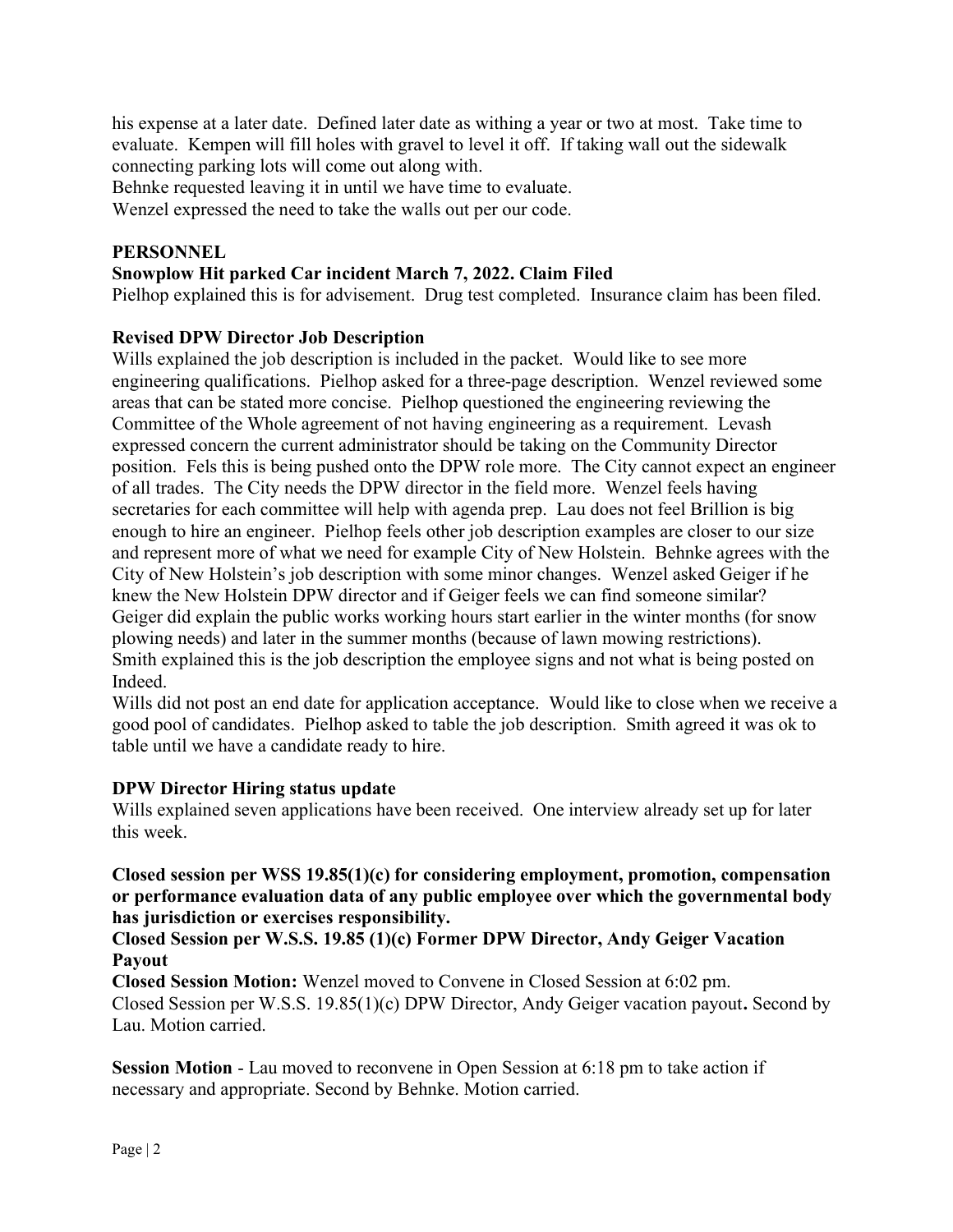his expense at a later date. Defined later date as withing a year or two at most. Take time to evaluate. Kempen will fill holes with gravel to level it off. If taking wall out the sidewalk connecting parking lots will come out along with.

Behnke requested leaving it in until we have time to evaluate.

Wenzel expressed the need to take the walls out per our code.

## PERSONNEL

#### Snowplow Hit parked Car incident March 7, 2022. Claim Filed

Pielhop explained this is for advisement. Drug test completed. Insurance claim has been filed.

#### Revised DPW Director Job Description

Wills explained the job description is included in the packet. Would like to see more engineering qualifications. Pielhop asked for a three-page description. Wenzel reviewed some areas that can be stated more concise. Pielhop questioned the engineering reviewing the Committee of the Whole agreement of not having engineering as a requirement. Levash expressed concern the current administrator should be taking on the Community Director position. Fels this is being pushed onto the DPW role more. The City cannot expect an engineer of all trades. The City needs the DPW director in the field more. Wenzel feels having secretaries for each committee will help with agenda prep. Lau does not feel Brillion is big enough to hire an engineer. Pielhop feels other job description examples are closer to our size and represent more of what we need for example City of New Holstein. Behnke agrees with the City of New Holstein's job description with some minor changes. Wenzel asked Geiger if he knew the New Holstein DPW director and if Geiger feels we can find someone similar? Geiger did explain the public works working hours start earlier in the winter months (for snow plowing needs) and later in the summer months (because of lawn mowing restrictions). Smith explained this is the job description the employee signs and not what is being posted on Indeed.

Wills did not post an end date for application acceptance. Would like to close when we receive a good pool of candidates. Pielhop asked to table the job description. Smith agreed it was ok to table until we have a candidate ready to hire.

#### DPW Director Hiring status update

Wills explained seven applications have been received. One interview already set up for later this week.

## Closed session per WSS 19.85(1)(c) for considering employment, promotion, compensation or performance evaluation data of any public employee over which the governmental body has jurisdiction or exercises responsibility.

#### Closed Session per W.S.S. 19.85 (1)(c) Former DPW Director, Andy Geiger Vacation Payout

Closed Session Motion: Wenzel moved to Convene in Closed Session at 6:02 pm. Closed Session per W.S.S. 19.85(1)(c) DPW Director, Andy Geiger vacation payout. Second by Lau. Motion carried.

Session Motion - Lau moved to reconvene in Open Session at 6:18 pm to take action if necessary and appropriate. Second by Behnke. Motion carried.